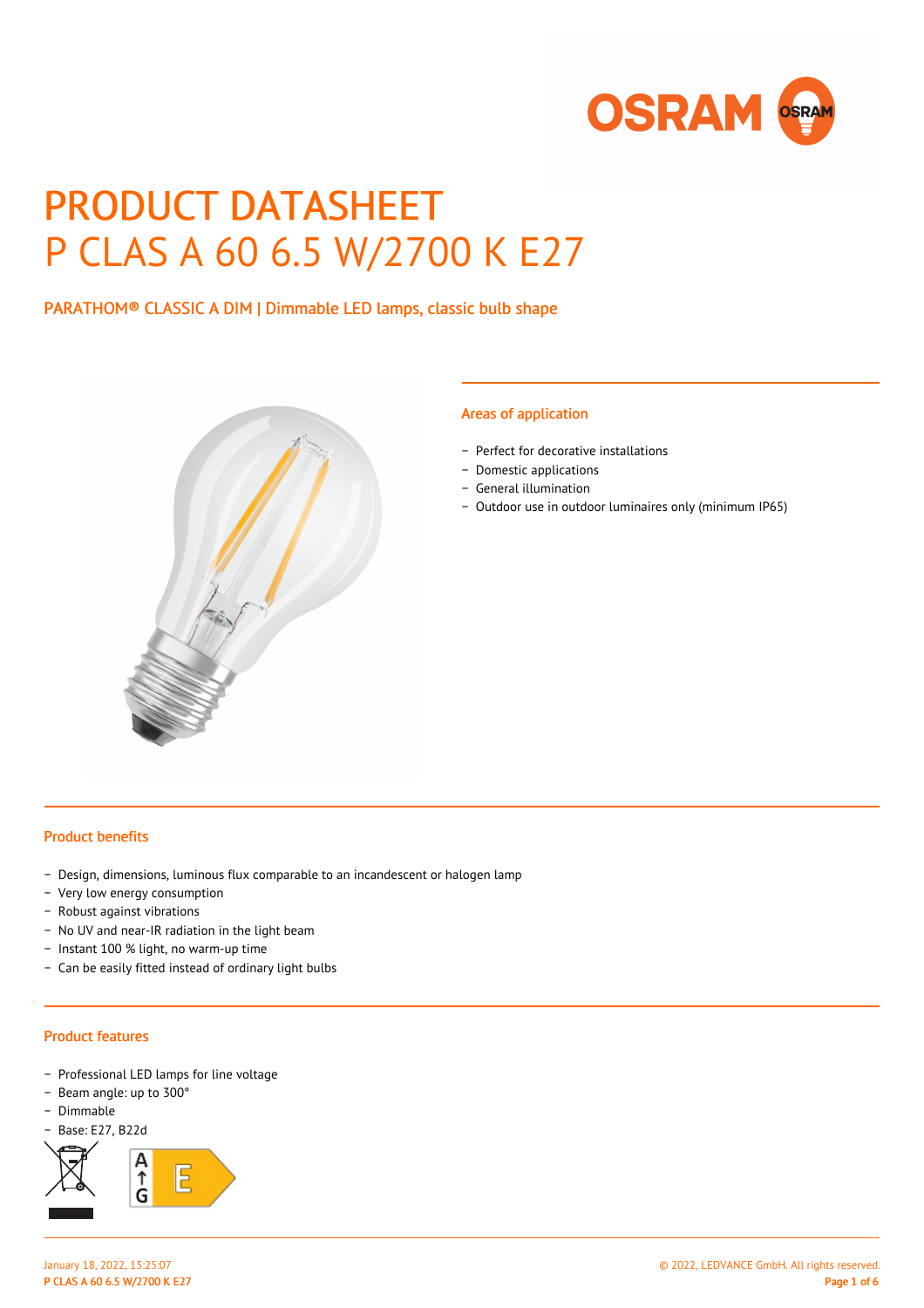

# PRODUCT DATASHEET P CLAS A 60 6.5 W/2700 K E27

PARATHOM® CLASSIC A DIM | Dimmable LED lamps, classic bulb shape



#### Areas of application

- − Perfect for decorative installations
- − Domestic applications
- − General illumination
- − Outdoor use in outdoor luminaires only (minimum IP65)

#### Product benefits

- − Design, dimensions, luminous flux comparable to an incandescent or halogen lamp
- − Very low energy consumption
- − Robust against vibrations
- − No UV and near-IR radiation in the light beam
- − Instant 100 % light, no warm-up time
- − Can be easily fitted instead of ordinary light bulbs

#### Product features

- − Professional LED lamps for line voltage
- − Beam angle: up to 300°
- − Dimmable
- − Base: E27, B22d

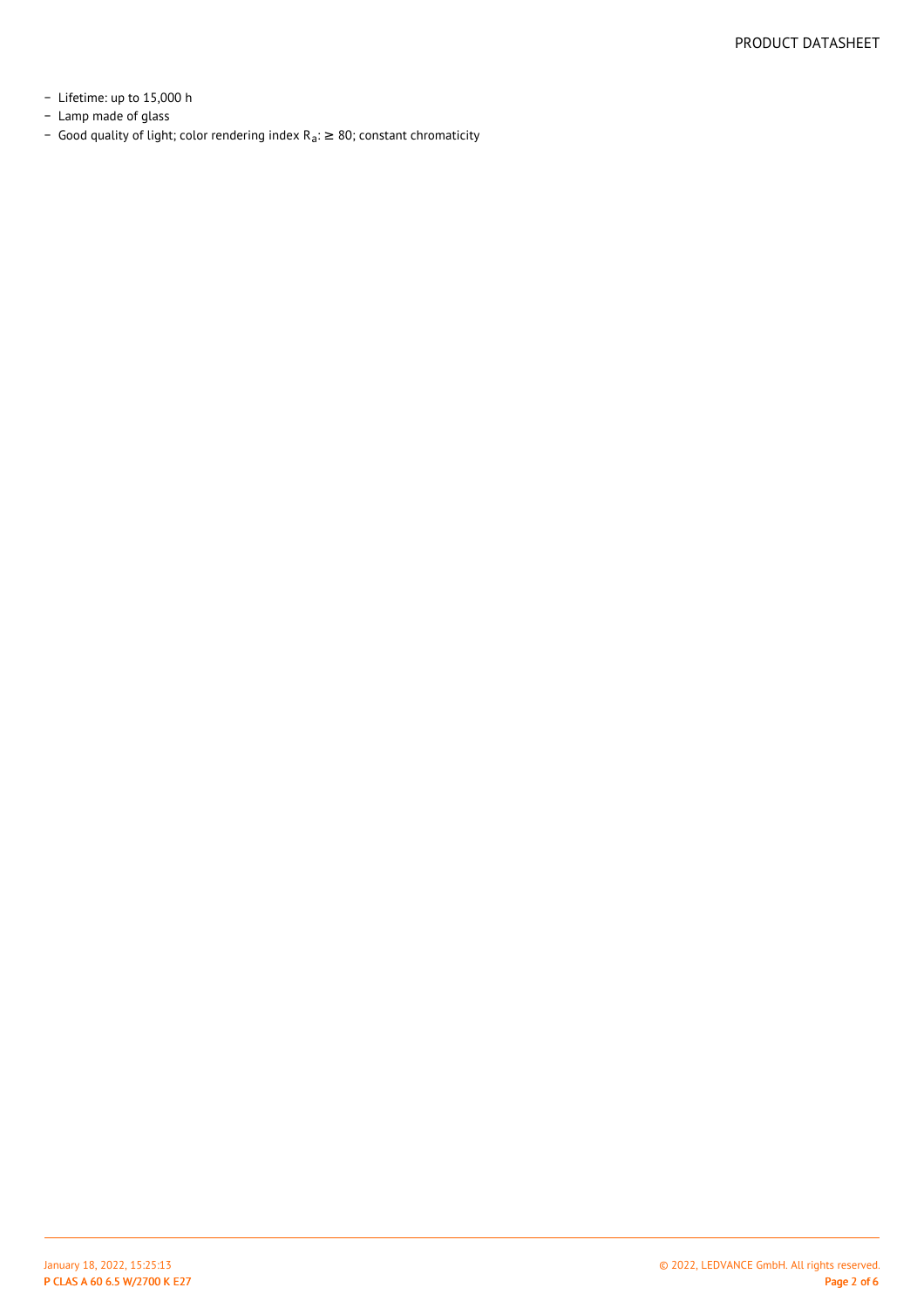- − Lifetime: up to 15,000 h
- − Lamp made of glass
- Good quality of light; color rendering index R<sub>a</sub>: ≥ 80; constant chromaticity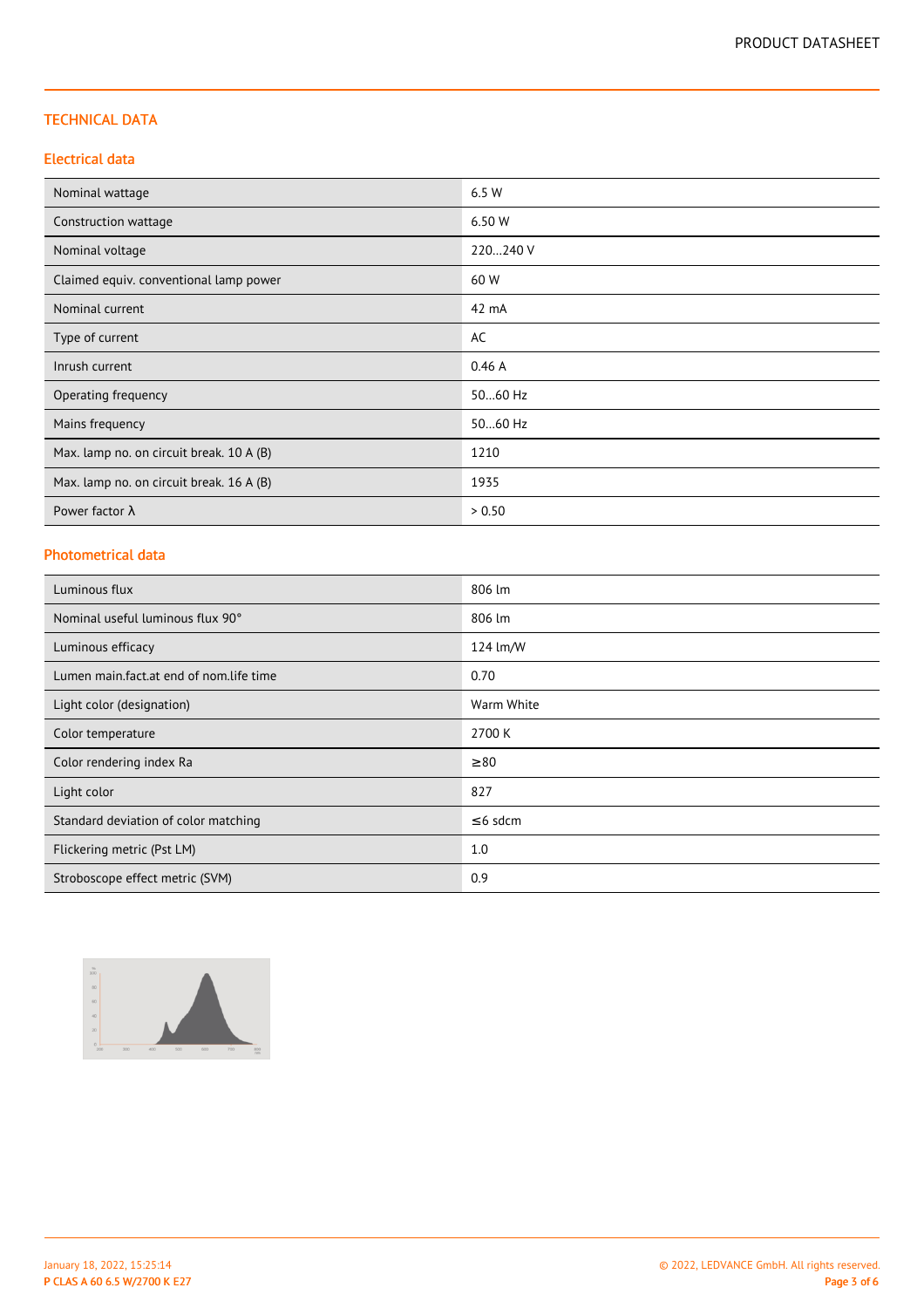#### TECHNICAL DATA

#### Electrical data

| Nominal wattage                          | 6.5 W    |
|------------------------------------------|----------|
| Construction wattage                     | 6.50 W   |
| Nominal voltage                          | 220240 V |
| Claimed equiv. conventional lamp power   | 60 W     |
| Nominal current                          | 42 mA    |
| Type of current                          | AC       |
| Inrush current                           | 0.46A    |
| Operating frequency                      | 5060 Hz  |
| Mains frequency                          | 5060 Hz  |
| Max. lamp no. on circuit break. 10 A (B) | 1210     |
| Max. lamp no. on circuit break. 16 A (B) | 1935     |
| Power factor $\lambda$                   | > 0.50   |

# Photometrical data

| Luminous flux                           | 806 lm        |
|-----------------------------------------|---------------|
| Nominal useful luminous flux 90°        | 806 lm        |
| Luminous efficacy                       | 124 lm/W      |
| Lumen main.fact.at end of nom.life time | 0.70          |
| Light color (designation)               | Warm White    |
| Color temperature                       | 2700 K        |
| Color rendering index Ra                | $\geq 80$     |
| Light color                             | 827           |
| Standard deviation of color matching    | $\leq$ 6 sdcm |
| Flickering metric (Pst LM)              | 1.0           |
| Stroboscope effect metric (SVM)         | 0.9           |

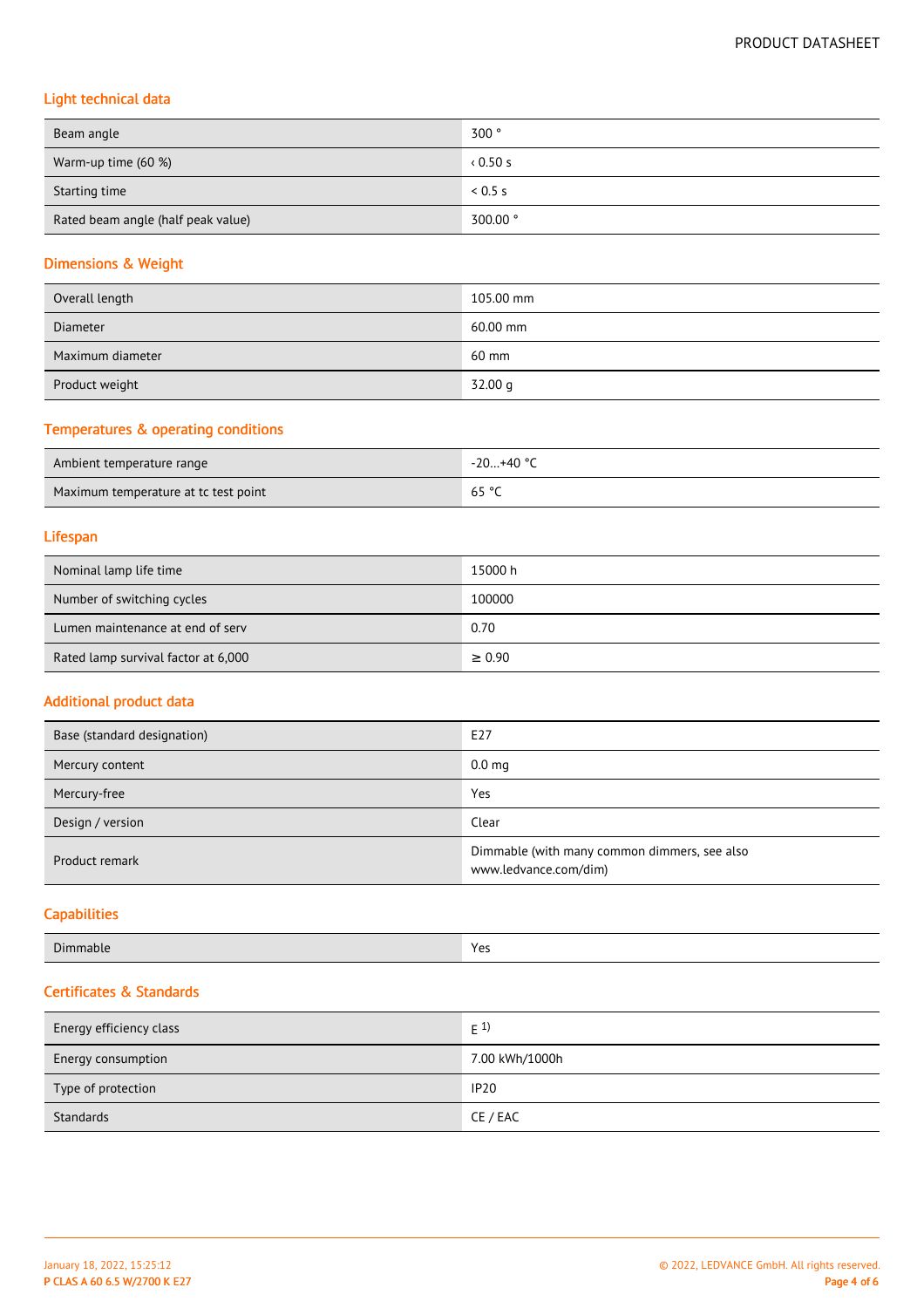# Light technical data

| Beam angle                         | 300°     |
|------------------------------------|----------|
| Warm-up time (60 %)                | 0.50s    |
| Starting time                      | 0.5 s    |
| Rated beam angle (half peak value) | 300.00 ° |

# Dimensions & Weight

| Overall length   | 105.00 mm |
|------------------|-----------|
| <b>Diameter</b>  | 60.00 mm  |
| Maximum diameter | 60 mm     |
| Product weight   | 32.00 g   |

# Temperatures & operating conditions

| Ambient temperature range            | -20+40 °C |
|--------------------------------------|-----------|
| Maximum temperature at tc test point | 65 °C     |

#### Lifespan

| Nominal lamp life time              | 15000 h     |
|-------------------------------------|-------------|
| Number of switching cycles          | 100000      |
| Lumen maintenance at end of serv    | 0.70        |
| Rated lamp survival factor at 6,000 | $\geq 0.90$ |

#### Additional product data

| Base (standard designation) | E27                                                                   |
|-----------------------------|-----------------------------------------------------------------------|
| Mercury content             | 0.0 <sub>mg</sub>                                                     |
| Mercury-free                | Yes                                                                   |
| Design / version            | Clear                                                                 |
| Product remark              | Dimmable (with many common dimmers, see also<br>www.ledvance.com/dim) |

# **Capabilities**

| Dir   | <b>Mor</b> |
|-------|------------|
| manie | .          |
|       |            |

### Certificates & Standards

| Energy efficiency class | $E^{1}$        |
|-------------------------|----------------|
| Energy consumption      | 7.00 kWh/1000h |
| Type of protection      | <b>IP20</b>    |
| Standards               | CE / EAC       |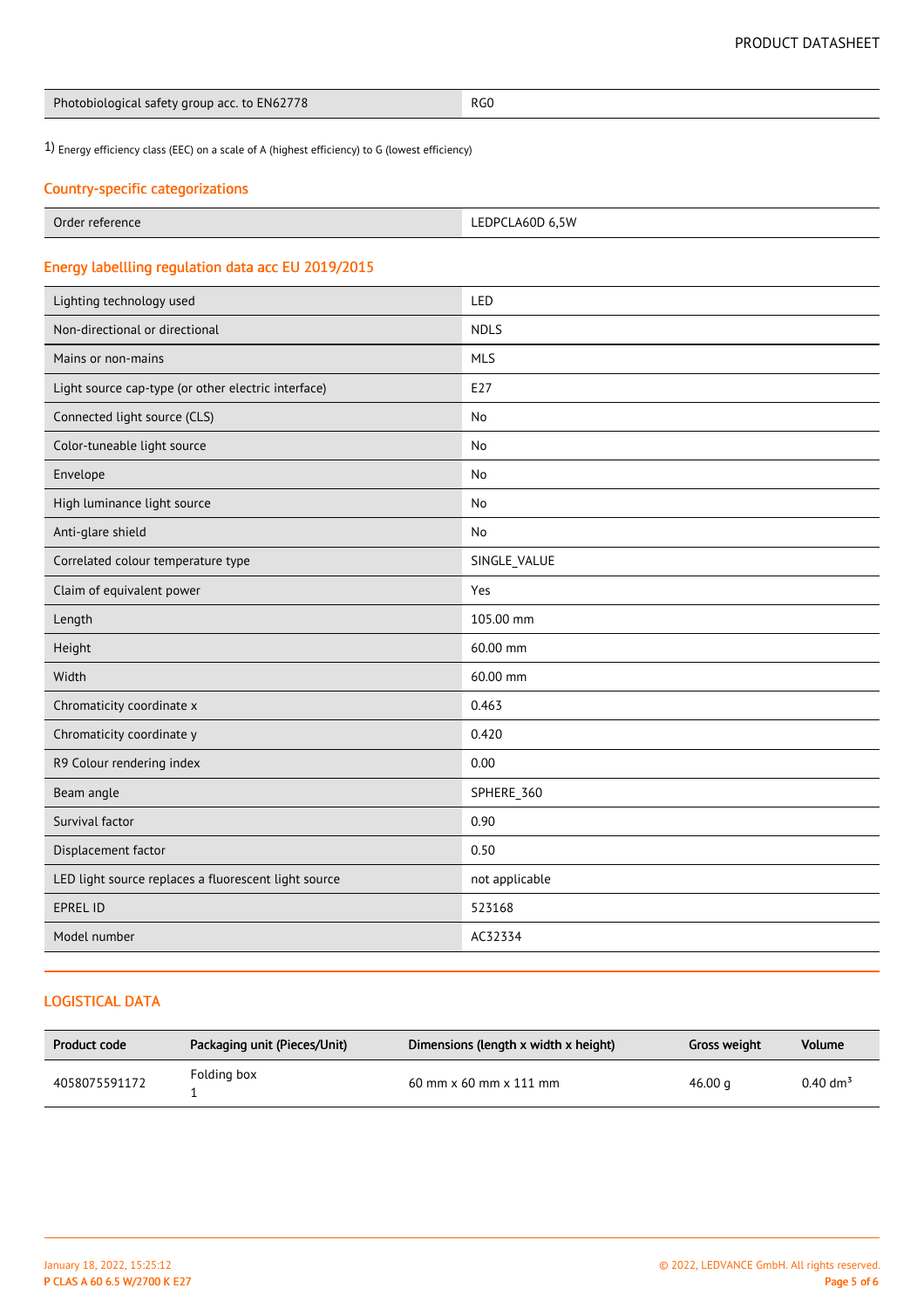| Photobiological safety group acc. to EN62778 | RG0 |
|----------------------------------------------|-----|
|----------------------------------------------|-----|

1) Energy efficiency class (EEC) on a scale of A (highest efficiency) to G (lowest efficiency)

# Country-specific categorizations

| Order<br><sup>.</sup> reference<br>. | LEDPCLA60D 6,5W |
|--------------------------------------|-----------------|

# Energy labellling regulation data acc EU 2019/2015

| Lighting technology used                             | LED            |
|------------------------------------------------------|----------------|
| Non-directional or directional                       | <b>NDLS</b>    |
| Mains or non-mains                                   | <b>MLS</b>     |
| Light source cap-type (or other electric interface)  | E27            |
| Connected light source (CLS)                         | No             |
| Color-tuneable light source                          | No             |
| Envelope                                             | No             |
| High luminance light source                          | No             |
| Anti-glare shield                                    | No             |
| Correlated colour temperature type                   | SINGLE_VALUE   |
| Claim of equivalent power                            | Yes            |
| Length                                               | 105.00 mm      |
| Height                                               | 60.00 mm       |
| Width                                                | 60.00 mm       |
| Chromaticity coordinate x                            | 0.463          |
| Chromaticity coordinate y                            | 0.420          |
| R9 Colour rendering index                            | 0.00           |
| Beam angle                                           | SPHERE_360     |
| Survival factor                                      | 0.90           |
| Displacement factor                                  | 0.50           |
| LED light source replaces a fluorescent light source | not applicable |
| <b>EPREL ID</b>                                      | 523168         |
| Model number                                         | AC32334        |

# LOGISTICAL DATA

| Product code  | Packaging unit (Pieces/Unit) | Dimensions (length x width x height) | Gross weight | Volume              |
|---------------|------------------------------|--------------------------------------|--------------|---------------------|
| 4058075591172 | Folding box                  | $60$ mm x $60$ mm x $111$ mm         | 46.00 $q$    | $0.40 \text{ dm}^3$ |